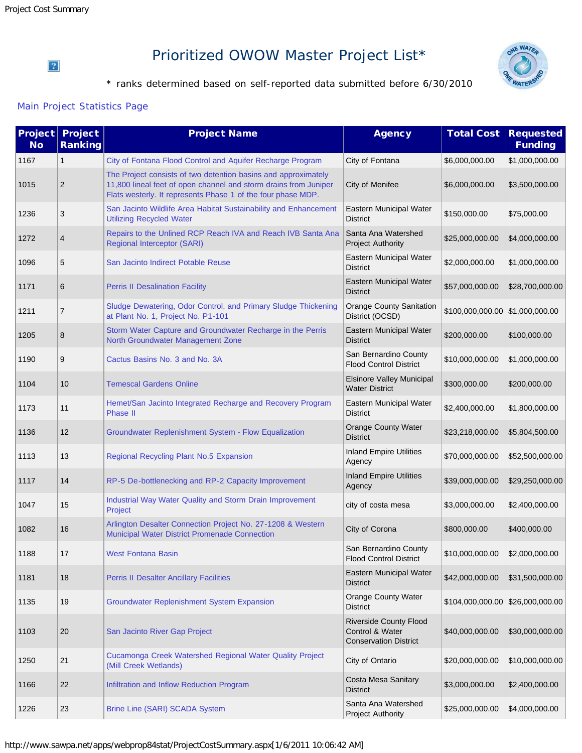#### $\overline{?}$

# Prioritized OWOW Master Project List\*



\* ranks determined based on self-reported data submitted before 6/30/2010

#### [Main Project Statistics Page](http://www.sawpa.net/apps/webprop84stat/Default.aspx)

| Project<br><b>No</b> | <b>Project</b><br><b>Ranking</b> | <b>Project Name</b>                                                                                                                                                                                | <b>Agency</b>                                                                    | <b>Total Cost</b>                 | <b>Requested</b><br><b>Funding</b> |
|----------------------|----------------------------------|----------------------------------------------------------------------------------------------------------------------------------------------------------------------------------------------------|----------------------------------------------------------------------------------|-----------------------------------|------------------------------------|
| 1167                 | $\mathbf{1}$                     | City of Fontana Flood Control and Aquifer Recharge Program                                                                                                                                         | City of Fontana                                                                  | \$6,000,000.00                    | \$1,000,000.00                     |
| 1015                 | $\overline{2}$                   | The Project consists of two detention basins and approximately<br>11,800 lineal feet of open channel and storm drains from Juniper<br>Flats westerly. It represents Phase 1 of the four phase MDP. | City of Menifee                                                                  | \$6,000,000.00                    | \$3,500,000.00                     |
| 1236                 | 3                                | San Jacinto Wildlife Area Habitat Sustainability and Enhancement<br><b>Utilizing Recycled Water</b>                                                                                                | Eastern Municipal Water<br><b>District</b>                                       | \$150,000.00                      | \$75,000.00                        |
| 1272                 | 4                                | Repairs to the Unlined RCP Reach IVA and Reach IVB Santa Ana<br>Regional Interceptor (SARI)                                                                                                        | Santa Ana Watershed<br><b>Project Authority</b>                                  | \$25,000,000.00                   | \$4,000,000.00                     |
| 1096                 | 5                                | San Jacinto Indirect Potable Reuse                                                                                                                                                                 | Eastern Municipal Water<br><b>District</b>                                       | \$2,000,000.00                    | \$1,000,000.00                     |
| 1171                 | 6                                | <b>Perris II Desalination Facility</b>                                                                                                                                                             | Eastern Municipal Water<br><b>District</b>                                       | \$57,000,000.00                   | \$28,700,000.00                    |
| 1211                 | $\overline{7}$                   | Sludge Dewatering, Odor Control, and Primary Sludge Thickening<br>at Plant No. 1, Project No. P1-101                                                                                               | <b>Orange County Sanitation</b><br>District (OCSD)                               | $$100,000,000.00$ \\$1,000,000.00 |                                    |
| 1205                 | 8                                | Storm Water Capture and Groundwater Recharge in the Perris<br>North Groundwater Management Zone                                                                                                    | Eastern Municipal Water<br><b>District</b>                                       | \$200,000.00                      | \$100,000.00                       |
| 1190                 | 9                                | Cactus Basins No. 3 and No. 3A                                                                                                                                                                     | San Bernardino County<br><b>Flood Control District</b>                           | \$10,000,000.00                   | \$1,000,000.00                     |
| 1104                 | 10                               | <b>Temescal Gardens Online</b>                                                                                                                                                                     | <b>Elsinore Valley Municipal</b><br><b>Water District</b>                        | \$300,000.00                      | \$200,000.00                       |
| 1173                 | 11                               | Hemet/San Jacinto Integrated Recharge and Recovery Program<br><b>Phase II</b>                                                                                                                      | Eastern Municipal Water<br><b>District</b>                                       | \$2,400,000.00                    | \$1,800,000.00                     |
| 1136                 | 12                               | Groundwater Replenishment System - Flow Equalization                                                                                                                                               | <b>Orange County Water</b><br><b>District</b>                                    | \$23,218,000.00                   | \$5,804,500.00                     |
| 1113                 | 13                               | Regional Recycling Plant No.5 Expansion                                                                                                                                                            | <b>Inland Empire Utilities</b><br>Agency                                         | \$70,000,000.00                   | \$52,500,000.00                    |
| 1117                 | 14                               | RP-5 De-bottlenecking and RP-2 Capacity Improvement                                                                                                                                                | <b>Inland Empire Utilities</b><br>Agency                                         | \$39,000,000.00                   | \$29,250,000.00                    |
| 1047                 | 15                               | Industrial Way Water Quality and Storm Drain Improvement<br>Project                                                                                                                                | city of costa mesa                                                               | \$3,000,000.00                    | \$2,400,000.00                     |
| 1082                 | 16                               | Arlington Desalter Connection Project No. 27-1208 & Western<br>Municipal Water District Promenade Connection                                                                                       | City of Corona                                                                   | \$800,000.00                      | \$400,000.00                       |
| 1188                 | 1/                               | <b>West Fontana Basin</b>                                                                                                                                                                          | San Bernardino County<br><b>Flood Control District</b>                           | \$10,000,000.00                   | \$2,000,000.00                     |
| 1181                 | 18                               | <b>Perris II Desalter Ancillary Facilities</b>                                                                                                                                                     | Eastern Municipal Water<br><b>District</b>                                       | \$42,000,000.00                   | \$31,500,000.00                    |
| 1135                 | 19                               | <b>Groundwater Replenishment System Expansion</b>                                                                                                                                                  | Orange County Water<br><b>District</b>                                           | \$104,000,000.00 \$26,000,000.00  |                                    |
| 1103                 | 20                               | San Jacinto River Gap Project                                                                                                                                                                      | <b>Riverside County Flood</b><br>Control & Water<br><b>Conservation District</b> | \$40,000,000.00                   | \$30,000,000.00                    |
| 1250                 | 21                               | Cucamonga Creek Watershed Regional Water Quality Project<br>(Mill Creek Wetlands)                                                                                                                  | City of Ontario                                                                  | \$20,000,000.00                   | \$10,000,000.00                    |
| 1166                 | 22                               | Infiltration and Inflow Reduction Program                                                                                                                                                          | Costa Mesa Sanitary<br><b>District</b>                                           | \$3,000,000.00                    | \$2,400,000.00                     |
| 1226                 | 23                               | Brine Line (SARI) SCADA System                                                                                                                                                                     | Santa Ana Watershed<br><b>Project Authority</b>                                  | \$25,000,000.00                   | \$4,000,000.00                     |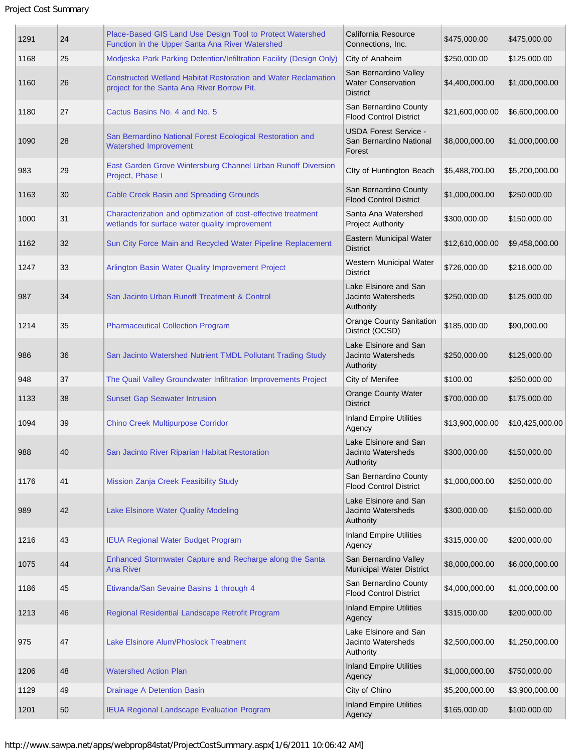| 1291 | 24 | Place-Based GIS Land Use Design Tool to Protect Watershed<br>Function in the Upper Santa Ana River Watershed        | California Resource<br>Connections, Inc.                              | \$475,000.00    | \$475,000.00    |
|------|----|---------------------------------------------------------------------------------------------------------------------|-----------------------------------------------------------------------|-----------------|-----------------|
| 1168 | 25 | Modjeska Park Parking Detention/Infiltration Facility (Design Only)                                                 | City of Anaheim                                                       | \$250,000.00    | \$125,000.00    |
| 1160 | 26 | <b>Constructed Wetland Habitat Restoration and Water Reclamation</b><br>project for the Santa Ana River Borrow Pit. | San Bernardino Valley<br><b>Water Conservation</b><br><b>District</b> | \$4,400,000.00  | \$1,000,000.00  |
| 1180 | 27 | Cactus Basins No. 4 and No. 5                                                                                       | San Bernardino County<br><b>Flood Control District</b>                | \$21,600,000.00 | \$6,600,000.00  |
| 1090 | 28 | San Bernardino National Forest Ecological Restoration and<br><b>Watershed Improvement</b>                           | <b>USDA Forest Service -</b><br>San Bernardino National<br>Forest     | \$8,000,000.00  | \$1,000,000.00  |
| 983  | 29 | East Garden Grove Wintersburg Channel Urban Runoff Diversion<br>Project, Phase I                                    | Clty of Huntington Beach                                              | \$5,488,700.00  | \$5,200,000.00  |
| 1163 | 30 | <b>Cable Creek Basin and Spreading Grounds</b>                                                                      | San Bernardino County<br><b>Flood Control District</b>                | \$1,000,000.00  | \$250,000.00    |
| 1000 | 31 | Characterization and optimization of cost-effective treatment<br>wetlands for surface water quality improvement     | Santa Ana Watershed<br><b>Project Authority</b>                       | \$300,000.00    | \$150,000.00    |
| 1162 | 32 | Sun City Force Main and Recycled Water Pipeline Replacement                                                         | Eastern Municipal Water<br><b>District</b>                            | \$12,610,000.00 | \$9,458,000.00  |
| 1247 | 33 | Arlington Basin Water Quality Improvement Project                                                                   | Western Municipal Water<br><b>District</b>                            | \$726,000.00    | \$216,000.00    |
| 987  | 34 | San Jacinto Urban Runoff Treatment & Control                                                                        | Lake Elsinore and San<br><b>Jacinto Watersheds</b><br>Authority       | \$250,000.00    | \$125,000.00    |
| 1214 | 35 | <b>Pharmaceutical Collection Program</b>                                                                            | Orange County Sanitation<br>District (OCSD)                           | \$185,000.00    | \$90,000.00     |
| 986  | 36 | San Jacinto Watershed Nutrient TMDL Pollutant Trading Study                                                         | Lake Elsinore and San<br><b>Jacinto Watersheds</b><br>Authority       | \$250,000.00    | \$125,000.00    |
| 948  | 37 | The Quail Valley Groundwater Infiltration Improvements Project                                                      | City of Menifee                                                       | \$100.00        | \$250,000.00    |
| 1133 | 38 | <b>Sunset Gap Seawater Intrusion</b>                                                                                | <b>Orange County Water</b><br><b>District</b>                         | \$700,000.00    | \$175,000.00    |
| 1094 | 39 | <b>Chino Creek Multipurpose Corridor</b>                                                                            | <b>Inland Empire Utilities</b><br>Agency                              | \$13,900,000.00 | \$10,425,000.00 |
| 988  | 40 | San Jacinto River Riparian Habitat Restoration                                                                      | Lake Elsinore and San<br>Jacinto Watersheds<br>Authority              | \$300,000.00    | \$150,000.00    |
| 1176 | 41 | Mission Zanja Creek Feasibility Study                                                                               | San Bernardino County<br><b>Flood Control District</b>                | \$1,000,000.00  | \$250,000.00    |
| 989  | 42 | Lake Elsinore Water Quality Modeling                                                                                | Lake Elsinore and San<br>Jacinto Watersheds<br>Authority              | \$300,000.00    | \$150,000.00    |
| 1216 | 43 | <b>IEUA Regional Water Budget Program</b>                                                                           | <b>Inland Empire Utilities</b><br>Agency                              | \$315,000.00    | \$200,000.00    |
| 1075 | 44 | Enhanced Stormwater Capture and Recharge along the Santa<br>Ana River                                               | San Bernardino Valley<br>Municipal Water District                     | \$8,000,000.00  | \$6,000,000.00  |
| 1186 | 45 | Etiwanda/San Sevaine Basins 1 through 4                                                                             | San Bernardino County<br><b>Flood Control District</b>                | \$4,000,000.00  | \$1,000,000.00  |
| 1213 | 46 | Regional Residential Landscape Retrofit Program                                                                     | <b>Inland Empire Utilities</b><br>Agency                              | \$315,000.00    | \$200,000.00    |
| 975  | 47 | Lake Elsinore Alum/Phoslock Treatment                                                                               | Lake Elsinore and San<br>Jacinto Watersheds<br>Authority              | \$2,500,000.00  | \$1,250,000.00  |
| 1206 | 48 | <b>Watershed Action Plan</b>                                                                                        | <b>Inland Empire Utilities</b><br>Agency                              | \$1,000,000.00  | \$750,000.00    |
| 1129 | 49 | <b>Drainage A Detention Basin</b>                                                                                   | City of Chino                                                         | \$5,200,000.00  | \$3,900,000.00  |
| 1201 | 50 | <b>IEUA Regional Landscape Evaluation Program</b>                                                                   | <b>Inland Empire Utilities</b><br>Agency                              | \$165,000.00    | \$100,000.00    |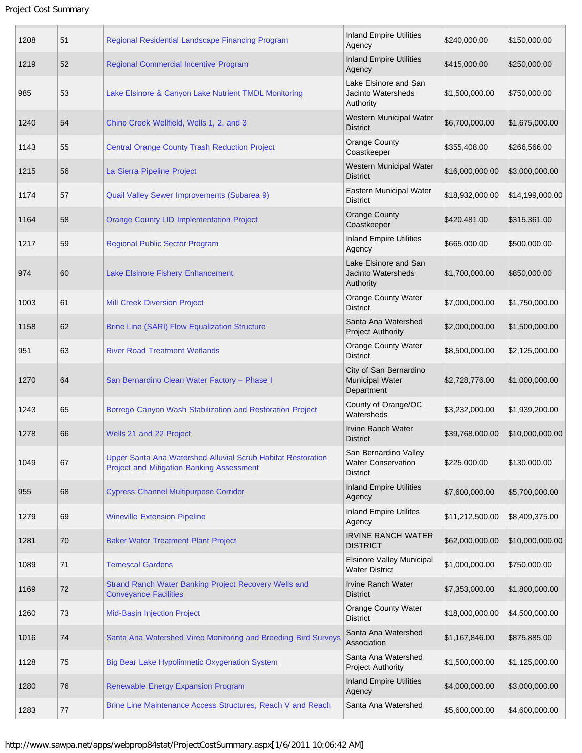| 1208 | 51 | Regional Residential Landscape Financing Program                                                                 | <b>Inland Empire Utilities</b><br>Agency                              | \$240,000.00    | \$150,000.00    |
|------|----|------------------------------------------------------------------------------------------------------------------|-----------------------------------------------------------------------|-----------------|-----------------|
| 1219 | 52 | Regional Commercial Incentive Program                                                                            | <b>Inland Empire Utilities</b><br>Agency                              | \$415,000.00    | \$250,000.00    |
| 985  | 53 | Lake Elsinore & Canyon Lake Nutrient TMDL Monitoring                                                             | Lake Elsinore and San<br>Jacinto Watersheds<br>Authority              | \$1,500,000.00  | \$750,000.00    |
| 1240 | 54 | Chino Creek Wellfield, Wells 1, 2, and 3                                                                         | Western Municipal Water<br><b>District</b>                            | \$6,700,000.00  | \$1,675,000.00  |
| 1143 | 55 | <b>Central Orange County Trash Reduction Project</b>                                                             | <b>Orange County</b><br>Coastkeeper                                   | \$355,408.00    | \$266,566.00    |
| 1215 | 56 | La Sierra Pipeline Project                                                                                       | Western Municipal Water<br><b>District</b>                            | \$16,000,000.00 | \$3,000,000.00  |
| 1174 | 57 | Quail Valley Sewer Improvements (Subarea 9)                                                                      | Eastern Municipal Water<br><b>District</b>                            | \$18,932,000.00 | \$14,199,000.00 |
| 1164 | 58 | <b>Orange County LID Implementation Project</b>                                                                  | <b>Orange County</b><br>Coastkeeper                                   | \$420,481.00    | \$315,361.00    |
| 1217 | 59 | <b>Regional Public Sector Program</b>                                                                            | <b>Inland Empire Utilities</b><br>Agency                              | \$665,000.00    | \$500,000.00    |
| 974  | 60 | Lake Elsinore Fishery Enhancement                                                                                | Lake Elsinore and San<br><b>Jacinto Watersheds</b><br>Authority       | \$1,700,000.00  | \$850,000.00    |
| 1003 | 61 | <b>Mill Creek Diversion Project</b>                                                                              | <b>Orange County Water</b><br><b>District</b>                         | \$7,000,000.00  | \$1,750,000.00  |
| 1158 | 62 | <b>Brine Line (SARI) Flow Equalization Structure</b>                                                             | Santa Ana Watershed<br><b>Project Authority</b>                       | \$2,000,000.00  | \$1,500,000.00  |
| 951  | 63 | <b>River Road Treatment Wetlands</b>                                                                             | <b>Orange County Water</b><br><b>District</b>                         | \$8,500,000.00  | \$2,125,000.00  |
| 1270 | 64 | San Bernardino Clean Water Factory - Phase I                                                                     | City of San Bernardino<br><b>Municipal Water</b><br>Department        | \$2,728,776.00  | \$1,000,000.00  |
| 1243 | 65 | Borrego Canyon Wash Stabilization and Restoration Project                                                        | County of Orange/OC<br>Watersheds                                     | \$3,232,000.00  | \$1,939,200.00  |
| 1278 | 66 | Wells 21 and 22 Project                                                                                          | <b>Irvine Ranch Water</b><br><b>District</b>                          | \$39,768,000.00 | \$10,000,000.00 |
| 1049 | 67 | Upper Santa Ana Watershed Alluvial Scrub Habitat Restoration<br><b>Project and Mitigation Banking Assessment</b> | San Bernardino Valley<br><b>Water Conservation</b><br><b>District</b> | \$225,000.00    | \$130,000.00    |
| 955  | 68 | <b>Cypress Channel Multipurpose Corridor</b>                                                                     | <b>Inland Empire Utilities</b><br>Agency                              | \$7,600,000.00  | \$5,700,000.00  |
| 1279 | 69 | <b>Wineville Extension Pipeline</b>                                                                              | <b>Inland Empire Utilites</b><br>Agency                               | \$11,212,500.00 | \$8,409,375.00  |
| 1281 | 70 | <b>Baker Water Treatment Plant Project</b>                                                                       | <b>IRVINE RANCH WATER</b><br><b>DISTRICT</b>                          | \$62,000,000.00 | \$10,000,000.00 |
| 1089 | 71 | <b>Temescal Gardens</b>                                                                                          | <b>Elsinore Valley Municipal</b><br><b>Water District</b>             | \$1,000,000.00  | \$750,000.00    |
| 1169 | 72 | Strand Ranch Water Banking Project Recovery Wells and<br><b>Conveyance Facilities</b>                            | <b>Irvine Ranch Water</b><br><b>District</b>                          | \$7,353,000.00  | \$1,800,000.00  |
| 1260 | 73 | <b>Mid-Basin Injection Project</b>                                                                               | <b>Orange County Water</b><br><b>District</b>                         | \$18,000,000.00 | \$4,500,000.00  |
| 1016 | 74 | Santa Ana Watershed Vireo Monitoring and Breeding Bird Surveys                                                   | Santa Ana Watershed<br>Association                                    | \$1,167,846.00  | \$875,885.00    |
| 1128 | 75 | Big Bear Lake Hypolimnetic Oxygenation System                                                                    | Santa Ana Watershed<br><b>Project Authority</b>                       | \$1,500,000.00  | \$1,125,000.00  |
| 1280 | 76 | Renewable Energy Expansion Program                                                                               | <b>Inland Empire Utilities</b><br>Agency                              | \$4,000,000.00  | \$3,000,000.00  |
| 1283 | 77 | Brine Line Maintenance Access Structures, Reach V and Reach                                                      | Santa Ana Watershed                                                   | \$5,600,000.00  | \$4,600,000.00  |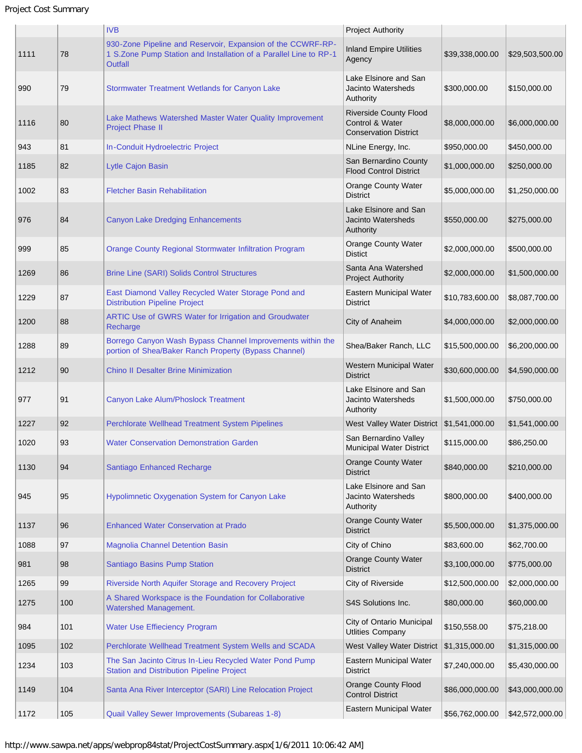```
Project Cost Summary
```

|      |     | <b>IVB</b>                                                                                                                                         | <b>Project Authority</b>                                                         |                 |                 |
|------|-----|----------------------------------------------------------------------------------------------------------------------------------------------------|----------------------------------------------------------------------------------|-----------------|-----------------|
| 1111 | 78  | 930-Zone Pipeline and Reservoir, Expansion of the CCWRF-RP-<br>1 S.Zone Pump Station and Installation of a Parallel Line to RP-1<br><b>Outfall</b> | <b>Inland Empire Utilities</b><br>Agency                                         | \$39,338,000.00 | \$29,503,500.00 |
| 990  | 79  | Stormwater Treatment Wetlands for Canyon Lake                                                                                                      | Lake Elsinore and San<br><b>Jacinto Watersheds</b><br>Authority                  | \$300,000.00    | \$150,000.00    |
| 1116 | 80  | Lake Mathews Watershed Master Water Quality Improvement<br><b>Project Phase II</b>                                                                 | <b>Riverside County Flood</b><br>Control & Water<br><b>Conservation District</b> | \$8,000,000.00  | \$6,000,000.00  |
| 943  | 81  | In-Conduit Hydroelectric Project                                                                                                                   | NLine Energy, Inc.                                                               | \$950,000.00    | \$450,000.00    |
| 1185 | 82  | Lytle Cajon Basin                                                                                                                                  | San Bernardino County<br><b>Flood Control District</b>                           | \$1,000,000.00  | \$250,000.00    |
| 1002 | 83  | <b>Fletcher Basin Rehabilitation</b>                                                                                                               | <b>Orange County Water</b><br><b>District</b>                                    | \$5,000,000.00  | \$1,250,000.00  |
| 976  | 84  | <b>Canyon Lake Dredging Enhancements</b>                                                                                                           | Lake Elsinore and San<br><b>Jacinto Watersheds</b><br>Authority                  | \$550,000.00    | \$275,000.00    |
| 999  | 85  | Orange County Regional Stormwater Infiltration Program                                                                                             | <b>Orange County Water</b><br><b>Distict</b>                                     | \$2,000,000.00  | \$500,000.00    |
| 1269 | 86  | <b>Brine Line (SARI) Solids Control Structures</b>                                                                                                 | Santa Ana Watershed<br><b>Project Authority</b>                                  | \$2,000,000.00  | \$1,500,000.00  |
| 1229 | 87  | East Diamond Valley Recycled Water Storage Pond and<br><b>Distribution Pipeline Project</b>                                                        | Eastern Municipal Water<br><b>District</b>                                       | \$10,783,600.00 | \$8,087,700.00  |
| 1200 | 88  | ARTIC Use of GWRS Water for Irrigation and Groudwater<br>Recharge                                                                                  | City of Anaheim                                                                  | \$4,000,000.00  | \$2,000,000.00  |
| 1288 | 89  | Borrego Canyon Wash Bypass Channel Improvements within the<br>portion of Shea/Baker Ranch Property (Bypass Channel)                                | Shea/Baker Ranch, LLC                                                            | \$15,500,000.00 | \$6,200,000.00  |
| 1212 | 90  | <b>Chino II Desalter Brine Minimization</b>                                                                                                        | Western Municipal Water<br><b>District</b>                                       | \$30,600,000.00 | \$4,590,000.00  |
| 977  | 91  | Canyon Lake Alum/Phoslock Treatment                                                                                                                | Lake Elsinore and San<br><b>Jacinto Watersheds</b><br>Authority                  | \$1,500,000.00  | \$750,000.00    |
| 1227 | 92  | Perchlorate Wellhead Treatment System Pipelines                                                                                                    | West Valley Water District \\$1,541,000.00                                       |                 | \$1,541,000.00  |
| 1020 | 93  | <b>Water Conservation Demonstration Garden</b>                                                                                                     | San Bernardino Valley<br>Municipal Water District                                | \$115,000.00    | \$86,250.00     |
| 1130 | 94  | Santiago Enhanced Recharge                                                                                                                         | Orange County Water<br><b>District</b>                                           | \$840,000,00    | \$210,000.00    |
| 945  | 95  | <b>Hypolimnetic Oxygenation System for Canyon Lake</b>                                                                                             | Lake Elsinore and San<br>Jacinto Watersheds<br>Authority                         | \$800,000.00    | \$400,000.00    |
| 1137 | 96  | <b>Enhanced Water Conservation at Prado</b>                                                                                                        | <b>Orange County Water</b><br><b>District</b>                                    | \$5,500,000.00  | \$1,375,000.00  |
| 1088 | 97  | <b>Magnolia Channel Detention Basin</b>                                                                                                            | City of Chino                                                                    | \$83,600.00     | \$62,700.00     |
| 981  | 98  | Santiago Basins Pump Station                                                                                                                       | <b>Orange County Water</b><br><b>District</b>                                    | \$3,100,000.00  | \$775,000.00    |
| 1265 | 99  | Riverside North Aquifer Storage and Recovery Project                                                                                               | City of Riverside                                                                | \$12,500,000.00 | \$2,000,000.00  |
| 1275 | 100 | A Shared Workspace is the Foundation for Collaborative<br>Watershed Management.                                                                    | S4S Solutions Inc.                                                               | \$80,000.00     | \$60,000.00     |
| 984  | 101 | <b>Water Use Effieciency Program</b>                                                                                                               | City of Ontario Municipal<br><b>Utlities Company</b>                             | \$150,558.00    | \$75,218.00     |
| 1095 | 102 | Perchlorate Wellhead Treatment System Wells and SCADA                                                                                              | West Valley Water District                                                       | \$1,315,000.00  | \$1,315,000.00  |
| 1234 | 103 | The San Jacinto Citrus In-Lieu Recycled Water Pond Pump<br><b>Station and Distribution Pipeline Project</b>                                        | Eastern Municipal Water<br><b>District</b>                                       | \$7,240,000.00  | \$5,430,000.00  |
| 1149 | 104 | Santa Ana River Interceptor (SARI) Line Relocation Project                                                                                         | <b>Orange County Flood</b><br><b>Control District</b>                            | \$86,000,000.00 | \$43,000,000.00 |
| 1172 | 105 | Quail Valley Sewer Improvements (Subareas 1-8)                                                                                                     | Eastern Municipal Water                                                          | \$56,762,000.00 | \$42,572,000.00 |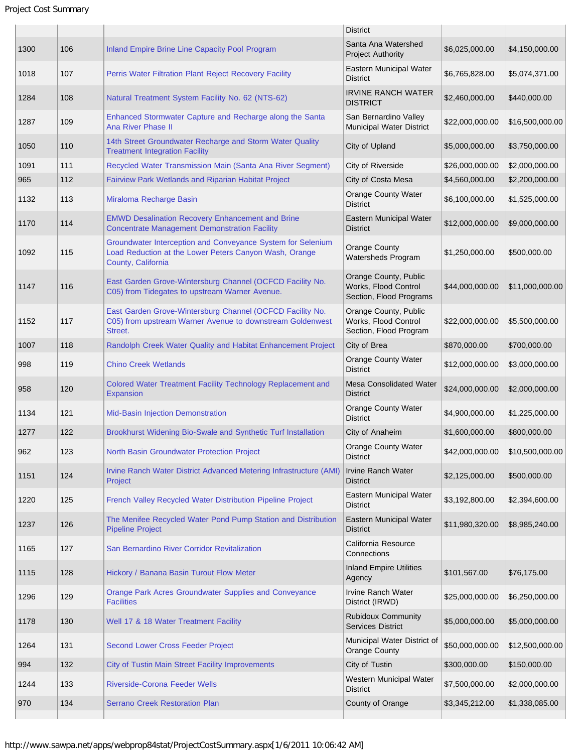Project Cost Summary

|      |     |                                                                                                                                             | <b>District</b>                                                          |                 |                 |
|------|-----|---------------------------------------------------------------------------------------------------------------------------------------------|--------------------------------------------------------------------------|-----------------|-----------------|
| 1300 | 106 | Inland Empire Brine Line Capacity Pool Program                                                                                              | Santa Ana Watershed<br><b>Project Authority</b>                          | \$6,025,000.00  | \$4,150,000.00  |
| 1018 | 107 | Perris Water Filtration Plant Reject Recovery Facility                                                                                      | Eastern Municipal Water<br><b>District</b>                               | \$6,765,828.00  | \$5,074,371.00  |
| 1284 | 108 | Natural Treatment System Facility No. 62 (NTS-62)                                                                                           | <b>IRVINE RANCH WATER</b><br><b>DISTRICT</b>                             | \$2,460,000.00  | \$440,000.00    |
| 1287 | 109 | Enhanced Stormwater Capture and Recharge along the Santa<br><b>Ana River Phase II</b>                                                       | San Bernardino Valley<br>Municipal Water District                        | \$22,000,000.00 | \$16,500,000.00 |
| 1050 | 110 | 14th Street Groundwater Recharge and Storm Water Quality<br><b>Treatment Integration Facility</b>                                           | City of Upland                                                           | \$5,000,000.00  | \$3,750,000.00  |
| 1091 | 111 | Recycled Water Transmission Main (Santa Ana River Segment)                                                                                  | City of Riverside                                                        | \$26,000,000.00 | \$2,000,000.00  |
| 965  | 112 | Fairview Park Wetlands and Riparian Habitat Project                                                                                         | City of Costa Mesa                                                       | \$4,560,000.00  | \$2,200,000.00  |
| 1132 | 113 | Miraloma Recharge Basin                                                                                                                     | <b>Orange County Water</b><br><b>District</b>                            | \$6,100,000.00  | \$1,525,000.00  |
| 1170 | 114 | <b>EMWD Desalination Recovery Enhancement and Brine</b><br><b>Concentrate Management Demonstration Facility</b>                             | Eastern Municipal Water<br><b>District</b>                               | \$12,000,000.00 | \$9,000,000.00  |
| 1092 | 115 | Groundwater Interception and Conveyance System for Selenium<br>Load Reduction at the Lower Peters Canyon Wash, Orange<br>County, California | <b>Orange County</b><br>Watersheds Program                               | \$1,250,000.00  | \$500,000.00    |
| 1147 | 116 | East Garden Grove-Wintersburg Channel (OCFCD Facility No.<br>C05) from Tidegates to upstream Warner Avenue.                                 | Orange County, Public<br>Works, Flood Control<br>Section, Flood Programs | \$44,000,000.00 | \$11,000,000.00 |
| 1152 | 117 | East Garden Grove-Wintersburg Channel (OCFCD Facility No.<br>C05) from upstream Warner Avenue to downstream Goldenwest<br>Street.           | Orange County, Public<br>Works, Flood Control<br>Section, Flood Program  | \$22,000,000.00 | \$5,500,000.00  |
| 1007 | 118 | Randolph Creek Water Quality and Habitat Enhancement Project                                                                                | City of Brea                                                             | \$870,000.00    | \$700,000.00    |
| 998  | 119 | <b>Chino Creek Wetlands</b>                                                                                                                 | <b>Orange County Water</b><br><b>District</b>                            | \$12,000,000.00 | \$3,000,000.00  |
| 958  | 120 | Colored Water Treatment Facility Technology Replacement and<br><b>Expansion</b>                                                             | <b>Mesa Consolidated Water</b><br><b>District</b>                        | \$24,000,000.00 | \$2,000,000.00  |
| 1134 | 121 | Mid-Basin Injection Demonstration                                                                                                           | <b>Orange County Water</b><br><b>District</b>                            | \$4,900,000.00  | \$1,225,000.00  |
| 1277 | 122 | Brookhurst Widening Bio-Swale and Synthetic Turf Installation                                                                               | City of Anaheim                                                          | \$1,600,000.00  | \$800,000.00    |
| 962  | 123 | North Basin Groundwater Protection Project                                                                                                  | <b>Orange County Water</b><br><b>District</b>                            | \$42,000,000.00 | \$10,500,000.00 |
| 1151 | 124 | Irvine Ranch Water District Advanced Metering Infrastructure (AMI)<br>Project                                                               | Irvine Ranch Water<br><b>District</b>                                    | \$2,125,000.00  | \$500,000.00    |
| 1220 | 125 | French Valley Recycled Water Distribution Pipeline Project                                                                                  | Eastern Municipal Water<br><b>District</b>                               | \$3,192,800.00  | \$2,394,600.00  |
| 1237 | 126 | The Menifee Recycled Water Pond Pump Station and Distribution<br><b>Pipeline Project</b>                                                    | Eastern Municipal Water<br><b>District</b>                               | \$11,980,320.00 | \$8,985,240.00  |
| 1165 | 127 | San Bernardino River Corridor Revitalization                                                                                                | California Resource<br>Connections                                       |                 |                 |
| 1115 | 128 | Hickory / Banana Basin Turout Flow Meter                                                                                                    | <b>Inland Empire Utilities</b><br>Agency                                 | \$101,567.00    | \$76,175.00     |
| 1296 | 129 | Orange Park Acres Groundwater Supplies and Conveyance<br><b>Facilities</b>                                                                  | Irvine Ranch Water<br>District (IRWD)                                    | \$25,000,000.00 | \$6,250,000.00  |
| 1178 | 130 | Well 17 & 18 Water Treatment Facility                                                                                                       | <b>Rubidoux Community</b><br><b>Services District</b>                    | \$5,000,000.00  | \$5,000,000.00  |
| 1264 | 131 | <b>Second Lower Cross Feeder Project</b>                                                                                                    | Municipal Water District of<br><b>Orange County</b>                      | \$50,000,000.00 | \$12,500,000.00 |
| 994  | 132 | <b>City of Tustin Main Street Facility Improvements</b>                                                                                     | City of Tustin                                                           | \$300,000.00    | \$150,000.00    |
| 1244 | 133 | <b>Riverside-Corona Feeder Wells</b>                                                                                                        | Western Municipal Water<br><b>District</b>                               | \$7,500,000.00  | \$2,000,000.00  |
| 970  | 134 | <b>Serrano Creek Restoration Plan</b>                                                                                                       | County of Orange                                                         | \$3,345,212.00  | \$1,338,085.00  |
|      |     |                                                                                                                                             |                                                                          |                 |                 |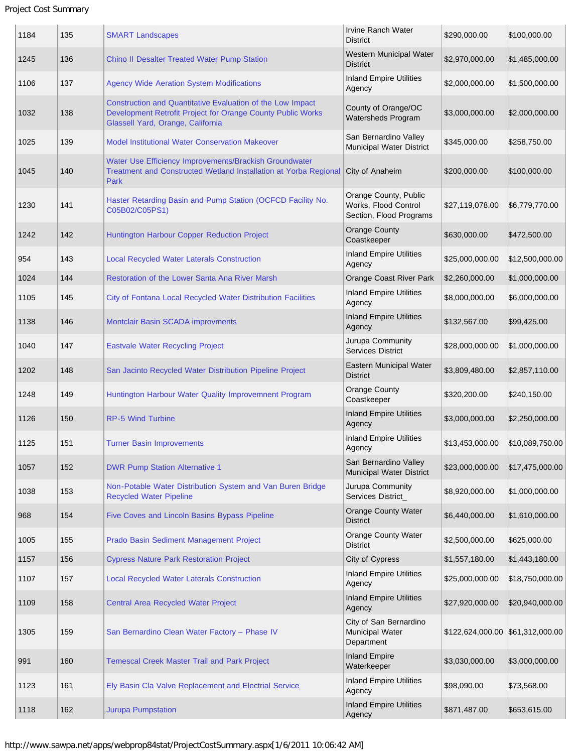## Project Cost Summary

| 1184 | 135 | <b>SMART Landscapes</b>                                                                                                                                        | <b>Irvine Ranch Water</b><br><b>District</b>                             | \$290,000.00                           | \$100,000.00    |
|------|-----|----------------------------------------------------------------------------------------------------------------------------------------------------------------|--------------------------------------------------------------------------|----------------------------------------|-----------------|
| 1245 | 136 | Chino II Desalter Treated Water Pump Station                                                                                                                   | Western Municipal Water<br><b>District</b>                               | \$2,970,000.00                         | \$1,485,000.00  |
| 1106 | 137 | <b>Agency Wide Aeration System Modifications</b>                                                                                                               | <b>Inland Empire Utilities</b><br>Agency                                 | \$2,000,000.00                         | \$1,500,000.00  |
| 1032 | 138 | Construction and Quantitative Evaluation of the Low Impact<br>Development Retrofit Project for Orange County Public Works<br>Glassell Yard, Orange, California | County of Orange/OC<br>Watersheds Program                                | \$3,000,000.00                         | \$2,000,000.00  |
| 1025 | 139 | <b>Model Institutional Water Conservation Makeover</b>                                                                                                         | San Bernardino Valley<br>Municipal Water District                        | \$345,000.00                           | \$258,750.00    |
| 1045 | 140 | Water Use Efficiency Improvements/Brackish Groundwater<br>Treatment and Constructed Wetland Installation at Yorba Regional<br>Park                             | City of Anaheim                                                          | \$200,000.00                           | \$100,000.00    |
| 1230 | 141 | Haster Retarding Basin and Pump Station (OCFCD Facility No.<br>C05B02/C05PS1)                                                                                  | Orange County, Public<br>Works, Flood Control<br>Section, Flood Programs | \$27,119,078.00                        | \$6,779,770.00  |
| 1242 | 142 | Huntington Harbour Copper Reduction Project                                                                                                                    | <b>Orange County</b><br>Coastkeeper                                      | \$630,000.00                           | \$472,500.00    |
| 954  | 143 | <b>Local Recycled Water Laterals Construction</b>                                                                                                              | <b>Inland Empire Utilities</b><br>Agency                                 | \$25,000,000.00                        | \$12,500,000.00 |
| 1024 | 144 | Restoration of the Lower Santa Ana River Marsh                                                                                                                 | <b>Orange Coast River Park</b>                                           | \$2,260,000.00                         | \$1,000,000.00  |
| 1105 | 145 | City of Fontana Local Recycled Water Distribution Facilities                                                                                                   | <b>Inland Empire Utilities</b><br>Agency                                 | \$8,000,000.00                         | \$6,000,000.00  |
| 1138 | 146 | Montclair Basin SCADA improvments                                                                                                                              | <b>Inland Empire Utilities</b><br>Agency                                 | \$132,567.00                           | \$99,425.00     |
| 1040 | 147 | <b>Eastvale Water Recycling Project</b>                                                                                                                        | Jurupa Community<br><b>Services District</b>                             | \$28,000,000.00                        | \$1,000,000.00  |
| 1202 | 148 | San Jacinto Recycled Water Distribution Pipeline Project                                                                                                       | Eastern Municipal Water<br><b>District</b>                               | \$3,809,480.00                         | \$2,857,110.00  |
| 1248 | 149 | Huntington Harbour Water Quality Improvemnent Program                                                                                                          | <b>Orange County</b><br>Coastkeeper                                      | \$320,200.00                           | \$240,150.00    |
| 1126 | 150 | <b>RP-5 Wind Turbine</b>                                                                                                                                       | <b>Inland Empire Utilities</b><br>Agency                                 | \$3,000,000.00                         | \$2,250,000.00  |
| 1125 | 151 | <b>Turner Basin Improvements</b>                                                                                                                               | <b>Inland Empire Utilities</b><br>Agency                                 | \$13,453,000.00                        | \$10,089,750.00 |
| 1057 | 152 | <b>DWR Pump Station Alternative 1</b>                                                                                                                          | San Bernardino Valley<br><b>Municipal Water District</b>                 | \$23,000,000.00                        | \$17,475,000.00 |
| 1038 | 153 | Non-Potable Water Distribution System and Van Buren Bridge<br><b>Recycled Water Pipeline</b>                                                                   | Jurupa Community<br>Services District_                                   | \$8,920,000.00                         | \$1,000,000.00  |
| 968  | 154 | Five Coves and Lincoln Basins Bypass Pipeline                                                                                                                  | <b>Orange County Water</b><br><b>District</b>                            | \$6,440,000.00                         | \$1,610,000.00  |
| 1005 | 155 | Prado Basin Sediment Management Project                                                                                                                        | <b>Orange County Water</b><br><b>District</b>                            | \$2,500,000.00                         | \$625,000.00    |
| 1157 | 156 | <b>Cypress Nature Park Restoration Project</b>                                                                                                                 | City of Cypress                                                          | \$1,557,180.00                         | \$1,443,180.00  |
| 1107 | 157 | <b>Local Recycled Water Laterals Construction</b>                                                                                                              | <b>Inland Empire Utilities</b><br>Agency                                 | \$25,000,000.00                        | \$18,750,000.00 |
| 1109 | 158 | Central Area Recycled Water Project                                                                                                                            | <b>Inland Empire Utilities</b><br>Agency                                 | \$27,920,000.00                        | \$20,940,000.00 |
| 1305 | 159 | San Bernardino Clean Water Factory - Phase IV                                                                                                                  | City of San Bernardino<br>Municipal Water<br>Department                  | $$122,624,000.00 \; \; $61,312,000.00$ |                 |
| 991  | 160 | <b>Temescal Creek Master Trail and Park Project</b>                                                                                                            | <b>Inland Empire</b><br>Waterkeeper                                      | \$3,030,000.00                         | \$3,000,000.00  |
| 1123 | 161 | Ely Basin Cla Valve Replacement and Electrial Service                                                                                                          | <b>Inland Empire Utilities</b><br>Agency                                 | \$98,090.00                            | \$73,568.00     |
| 1118 | 162 | <b>Jurupa Pumpstation</b>                                                                                                                                      | <b>Inland Empire Utilities</b><br>Agency                                 | \$871,487.00                           | \$653,615.00    |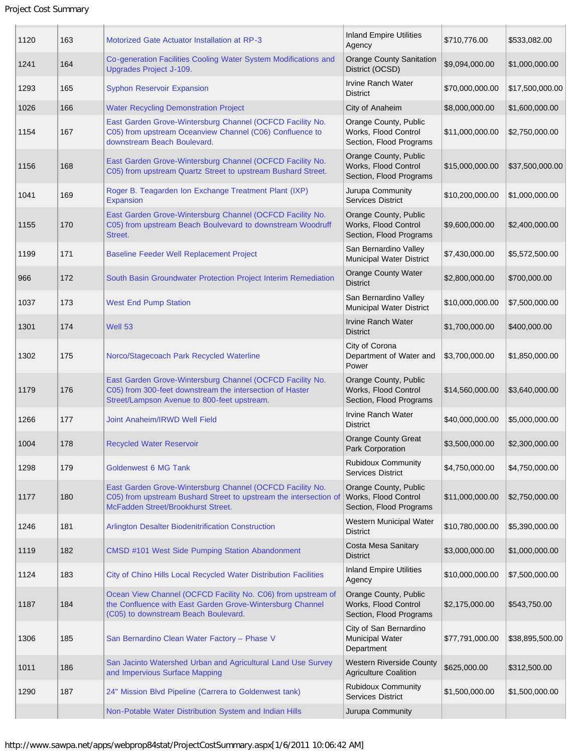| 1120 | 163 | <b>Motorized Gate Actuator Installation at RP-3</b>                                                                                                                  | <b>Inland Empire Utilities</b><br>Agency                                 | \$710,776.00    | \$533,082.00    |
|------|-----|----------------------------------------------------------------------------------------------------------------------------------------------------------------------|--------------------------------------------------------------------------|-----------------|-----------------|
| 1241 | 164 | Co-generation Facilities Cooling Water System Modifications and<br>Upgrades Project J-109.                                                                           | <b>Orange County Sanitation</b><br>District (OCSD)                       | \$9,094,000.00  | \$1,000,000.00  |
| 1293 | 165 | <b>Syphon Reservoir Expansion</b>                                                                                                                                    | Irvine Ranch Water<br><b>District</b>                                    | \$70,000,000.00 | \$17,500,000.00 |
| 1026 | 166 | <b>Water Recycling Demonstration Project</b>                                                                                                                         | City of Anaheim                                                          | \$8,000,000.00  | \$1,600,000.00  |
| 1154 | 167 | East Garden Grove-Wintersburg Channel (OCFCD Facility No.<br>C05) from upstream Oceanview Channel (C06) Confluence to<br>downstream Beach Boulevard.                 | Orange County, Public<br>Works, Flood Control<br>Section, Flood Programs | \$11,000,000.00 | \$2,750,000.00  |
| 1156 | 168 | East Garden Grove-Wintersburg Channel (OCFCD Facility No.<br>C05) from upstream Quartz Street to upstream Bushard Street.                                            | Orange County, Public<br>Works, Flood Control<br>Section, Flood Programs | \$15,000,000.00 | \$37,500,000.00 |
| 1041 | 169 | Roger B. Teagarden Ion Exchange Treatment Plant (IXP)<br>Expansion                                                                                                   | Jurupa Community<br><b>Services District</b>                             | \$10,200,000.00 | \$1,000,000.00  |
| 1155 | 170 | East Garden Grove-Wintersburg Channel (OCFCD Facility No.<br>C05) from upstream Beach Boulvevard to downstream Woodruff<br>Street.                                   | Orange County, Public<br>Works, Flood Control<br>Section, Flood Programs | \$9,600,000.00  | \$2,400,000.00  |
| 1199 | 171 | <b>Baseline Feeder Well Replacement Project</b>                                                                                                                      | San Bernardino Valley<br>Municipal Water District                        | \$7,430,000.00  | \$5,572,500.00  |
| 966  | 172 | South Basin Groundwater Protection Project Interim Remediation                                                                                                       | <b>Orange County Water</b><br><b>District</b>                            | \$2,800,000.00  | \$700,000.00    |
| 1037 | 173 | <b>West End Pump Station</b>                                                                                                                                         | San Bernardino Valley<br>Municipal Water District                        | \$10,000,000.00 | \$7,500,000.00  |
| 1301 | 174 | Well 53                                                                                                                                                              | <b>Irvine Ranch Water</b><br><b>District</b>                             | \$1,700,000.00  | \$400,000.00    |
| 1302 | 175 | Norco/Stagecoach Park Recycled Waterline                                                                                                                             | City of Corona<br>Department of Water and<br>Power                       | \$3,700,000.00  | \$1,850,000.00  |
| 1179 | 176 | East Garden Grove-Wintersburg Channel (OCFCD Facility No.<br>C05) from 300-feet downstream the intersection of Haster<br>Street/Lampson Avenue to 800-feet upstream. | Orange County, Public<br>Works, Flood Control<br>Section, Flood Programs | \$14,560,000.00 | \$3,640,000.00  |
| 1266 | 177 | Joint Anaheim/IRWD Well Field                                                                                                                                        | Irvine Ranch Water<br><b>District</b>                                    | \$40,000,000.00 | \$5,000,000.00  |
| 1004 | 178 | <b>Recycled Water Reservoir</b>                                                                                                                                      | <b>Orange County Great</b><br>Park Corporation                           | \$3,500,000.00  | \$2,300,000.00  |
| 1298 | 179 | <b>Goldenwest 6 MG Tank</b>                                                                                                                                          | <b>Rubidoux Community</b><br><b>Services District</b>                    | \$4,750,000.00  | \$4,750,000.00  |
| 1177 | 180 | East Garden Grove-Wintersburg Channel (OCFCD Facility No.<br>C05) from upstream Bushard Street to upstream the intersection of<br>McFadden Street/Brookhurst Street. | Orange County, Public<br>Works, Flood Control<br>Section, Flood Programs | \$11,000,000.00 | \$2,750,000.00  |
| 1246 | 181 | Arlington Desalter Biodenitrification Construction                                                                                                                   | Western Municipal Water<br>District                                      | \$10,780,000.00 | \$5,390,000.00  |
| 1119 | 182 | CMSD #101 West Side Pumping Station Abandonment                                                                                                                      | Costa Mesa Sanitary<br><b>District</b>                                   | \$3,000,000.00  | \$1,000,000.00  |
| 1124 | 183 | City of Chino Hills Local Recycled Water Distribution Facilities                                                                                                     | <b>Inland Empire Utilities</b><br>Agency                                 | \$10,000,000.00 | \$7,500,000.00  |
| 1187 | 184 | Ocean View Channel (OCFCD Facility No. C06) from upstream of<br>the Confluence with East Garden Grove-Wintersburg Channel<br>(C05) to downstream Beach Boulevard.    | Orange County, Public<br>Works, Flood Control<br>Section, Flood Programs | \$2,175,000.00  | \$543,750.00    |
| 1306 | 185 | San Bernardino Clean Water Factory - Phase V                                                                                                                         | City of San Bernardino<br><b>Municipal Water</b><br>Department           | \$77,791,000.00 | \$38,895,500.00 |
| 1011 | 186 | San Jacinto Watershed Urban and Agricultural Land Use Survey<br>and Impervious Surface Mapping                                                                       | <b>Western Riverside County</b><br><b>Agriculture Coalition</b>          | \$625,000.00    | \$312,500.00    |
| 1290 | 187 | 24" Mission Blvd Pipeline (Carrera to Goldenwest tank)                                                                                                               | <b>Rubidoux Community</b><br><b>Services District</b>                    | \$1,500,000.00  | \$1,500,000.00  |
|      |     | Non-Potable Water Distribution System and Indian Hills                                                                                                               | Jurupa Community                                                         |                 |                 |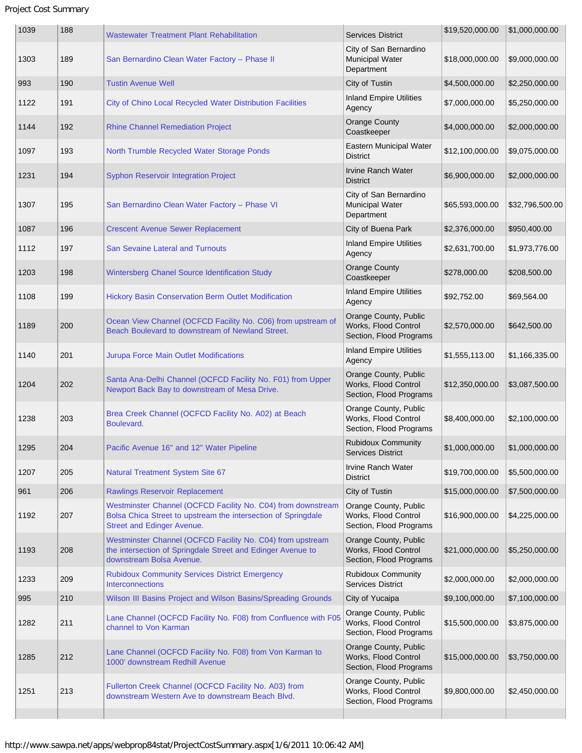| 1039 | 188 | <b>Wastewater Treatment Plant Rehabilitation</b>                                                                                                            | <b>Services District</b>                                                 | \$19,520,000.00 | \$1,000,000.00  |
|------|-----|-------------------------------------------------------------------------------------------------------------------------------------------------------------|--------------------------------------------------------------------------|-----------------|-----------------|
| 1303 | 189 | San Bernardino Clean Water Factory - Phase II                                                                                                               | City of San Bernardino<br><b>Municipal Water</b><br>Department           | \$18,000,000.00 | \$9,000,000.00  |
| 993  | 190 | <b>Tustin Avenue Well</b>                                                                                                                                   | City of Tustin                                                           | \$4,500,000.00  | \$2,250,000.00  |
| 1122 | 191 | City of Chino Local Recycled Water Distribution Facilities                                                                                                  | <b>Inland Empire Utilities</b><br>Agency                                 | \$7,000,000.00  | \$5,250,000.00  |
| 1144 | 192 | <b>Rhine Channel Remediation Project</b>                                                                                                                    | <b>Orange County</b><br>Coastkeeper                                      | \$4,000,000.00  | \$2,000,000.00  |
| 1097 | 193 | North Trumble Recycled Water Storage Ponds                                                                                                                  | Eastern Municipal Water<br><b>District</b>                               | \$12,100,000.00 | \$9,075,000.00  |
| 1231 | 194 | <b>Syphon Reservoir Integration Project</b>                                                                                                                 | <b>Irvine Ranch Water</b><br><b>District</b>                             | \$6,900,000.00  | \$2,000,000.00  |
| 1307 | 195 | San Bernardino Clean Water Factory - Phase VI                                                                                                               | City of San Bernardino<br><b>Municipal Water</b><br>Department           | \$65,593,000.00 | \$32,796,500.00 |
| 1087 | 196 | <b>Crescent Avenue Sewer Replacement</b>                                                                                                                    | City of Buena Park                                                       | \$2,376,000.00  | \$950,400.00    |
| 1112 | 197 | <b>San Sevaine Lateral and Turnouts</b>                                                                                                                     | <b>Inland Empire Utilities</b><br>Agency                                 | \$2,631,700.00  | \$1,973,776.00  |
| 1203 | 198 | Wintersberg Chanel Source Identification Study                                                                                                              | <b>Orange County</b><br>Coastkeeper                                      | \$278,000.00    | \$208,500.00    |
| 1108 | 199 | Hickory Basin Conservation Berm Outlet Modification                                                                                                         | <b>Inland Empire Utilities</b><br>Agency                                 | \$92,752.00     | \$69,564.00     |
| 1189 | 200 | Ocean View Channel (OCFCD Facility No. C06) from upstream of<br>Beach Boulevard to downstream of Newland Street.                                            | Orange County, Public<br>Works, Flood Control<br>Section, Flood Programs | \$2,570,000.00  | \$642,500.00    |
| 1140 | 201 | Jurupa Force Main Outlet Modifications                                                                                                                      | <b>Inland Empire Utilities</b><br>Agency                                 | \$1,555,113.00  | \$1,166,335.00  |
| 1204 | 202 | Santa Ana-Delhi Channel (OCFCD Facility No. F01) from Upper<br>Newport Back Bay to downstream of Mesa Drive.                                                | Orange County, Public<br>Works, Flood Control<br>Section, Flood Programs | \$12,350,000.00 | \$3,087,500.00  |
| 1238 | 203 | Brea Creek Channel (OCFCD Facility No. A02) at Beach<br>Boulevard.                                                                                          | Orange County, Public<br>Works, Flood Control<br>Section, Flood Programs | \$8,400,000.00  | \$2,100,000.00  |
| 1295 | 204 | Pacific Avenue 16" and 12" Water Pipeline                                                                                                                   | <b>Rubidoux Community</b><br>Services District                           | \$1,000,000.00  | \$1,000,000.00  |
| 1207 | 205 | Natural Treatment System Site 67                                                                                                                            | Irvine Ranch Water<br><b>District</b>                                    | \$19,700,000.00 | \$5,500,000.00  |
| 961  | 206 | <b>Rawlings Reservoir Replacement</b>                                                                                                                       | City of Tustin                                                           | \$15,000,000.00 | \$7,500,000.00  |
| 1192 | 207 | Westminster Channel (OCFCD Facility No. C04) from downstream<br>Bolsa Chica Street to upstream the intersection of Springdale<br>Street and Edinger Avenue. | Orange County, Public<br>Works, Flood Control<br>Section, Flood Programs | \$16,900,000.00 | \$4,225,000.00  |
| 1193 | 208 | Westminster Channel (OCFCD Facility No. C04) from upstream<br>the intersection of Springdale Street and Edinger Avenue to<br>downstream Bolsa Avenue.       | Orange County, Public<br>Works, Flood Control<br>Section, Flood Programs | \$21,000,000.00 | \$5,250,000.00  |
| 1233 | 209 | <b>Rubidoux Community Services District Emergency</b><br>Interconnections                                                                                   | Rubidoux Community<br><b>Services District</b>                           | \$2,000,000.00  | \$2,000,000.00  |
| 995  | 210 | Wilson III Basins Project and Wilson Basins/Spreading Grounds                                                                                               | City of Yucaipa                                                          | \$9,100,000.00  | \$7,100,000.00  |
| 1282 | 211 | Lane Channel (OCFCD Facility No. F08) from Confluence with F05<br>channel to Von Karman                                                                     | Orange County, Public<br>Works, Flood Control<br>Section, Flood Programs | \$15,500,000.00 | \$3,875,000.00  |
| 1285 | 212 | Lane Channel (OCFCD Facility No. F08) from Von Karman to<br>1000' downstream Redhill Avenue                                                                 | Orange County, Public<br>Works, Flood Control<br>Section, Flood Programs | \$15,000,000.00 | \$3,750,000.00  |
| 1251 | 213 | Fullerton Creek Channel (OCFCD Facility No. A03) from<br>downstream Western Ave to downstream Beach Blvd.                                                   | Orange County, Public<br>Works, Flood Control<br>Section, Flood Programs | \$9,800,000.00  | \$2,450,000.00  |
|      |     |                                                                                                                                                             |                                                                          |                 |                 |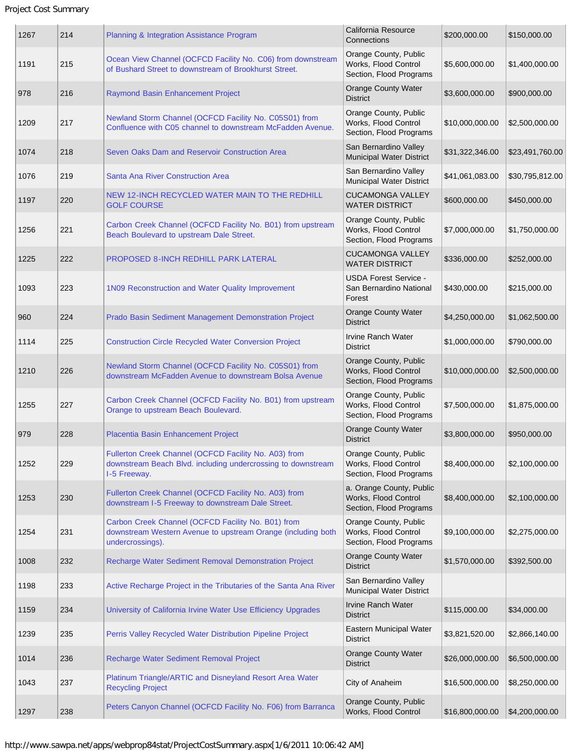| 1267 | 214 | Planning & Integration Assistance Program                                                                                              | California Resource<br>Connections                                          | \$200,000.00    | \$150,000.00    |
|------|-----|----------------------------------------------------------------------------------------------------------------------------------------|-----------------------------------------------------------------------------|-----------------|-----------------|
| 1191 | 215 | Ocean View Channel (OCFCD Facility No. C06) from downstream<br>of Bushard Street to downstream of Brookhurst Street.                   | Orange County, Public<br>Works, Flood Control<br>Section, Flood Programs    | \$5,600,000.00  | \$1,400,000.00  |
| 978  | 216 | Raymond Basin Enhancement Project                                                                                                      | <b>Orange County Water</b><br><b>District</b>                               | \$3,600,000.00  | \$900,000.00    |
| 1209 | 217 | Newland Storm Channel (OCFCD Facility No. C05S01) from<br>Confluence with C05 channel to downstream McFadden Avenue.                   | Orange County, Public<br>Works, Flood Control<br>Section, Flood Programs    | \$10,000,000.00 | \$2,500,000.00  |
| 1074 | 218 | Seven Oaks Dam and Reservoir Construction Area                                                                                         | San Bernardino Valley<br><b>Municipal Water District</b>                    | \$31,322,346.00 | \$23,491,760.00 |
| 1076 | 219 | Santa Ana River Construction Area                                                                                                      | San Bernardino Valley<br>Municipal Water District                           | \$41,061,083.00 | \$30,795,812.00 |
| 1197 | 220 | NEW 12-INCH RECYCLED WATER MAIN TO THE REDHILL<br><b>GOLF COURSE</b>                                                                   | <b>CUCAMONGA VALLEY</b><br><b>WATER DISTRICT</b>                            | \$600,000.00    | \$450,000.00    |
| 1256 | 221 | Carbon Creek Channel (OCFCD Facility No. B01) from upstream<br>Beach Boulevard to upstream Dale Street.                                | Orange County, Public<br>Works, Flood Control<br>Section, Flood Programs    | \$7,000,000.00  | \$1,750,000.00  |
| 1225 | 222 | <b>PROPOSED 8-INCH REDHILL PARK LATERAL</b>                                                                                            | <b>CUCAMONGA VALLEY</b><br><b>WATER DISTRICT</b>                            | \$336,000.00    | \$252,000.00    |
| 1093 | 223 | 1N09 Reconstruction and Water Quality Improvement                                                                                      | <b>USDA Forest Service -</b><br>San Bernardino National<br>Forest           | \$430,000.00    | \$215,000.00    |
| 960  | 224 | Prado Basin Sediment Management Demonstration Project                                                                                  | <b>Orange County Water</b><br><b>District</b>                               | \$4,250,000.00  | \$1,062,500.00  |
| 1114 | 225 | <b>Construction Circle Recycled Water Conversion Project</b>                                                                           | <b>Irvine Ranch Water</b><br><b>District</b>                                | \$1,000,000.00  | \$790,000.00    |
| 1210 | 226 | Newland Storm Channel (OCFCD Facility No. C05S01) from<br>downstream McFadden Avenue to downstream Bolsa Avenue                        | Orange County, Public<br>Works, Flood Control<br>Section, Flood Programs    | \$10,000,000.00 | \$2,500,000.00  |
| 1255 | 227 | Carbon Creek Channel (OCFCD Facility No. B01) from upstream<br>Orange to upstream Beach Boulevard.                                     | Orange County, Public<br>Works, Flood Control<br>Section, Flood Programs    | \$7,500,000.00  | \$1,875,000.00  |
| 979  | 228 | Placentia Basin Enhancement Project                                                                                                    | <b>Orange County Water</b><br><b>District</b>                               | \$3,800,000.00  | \$950,000.00    |
| 1252 | 229 | Fullerton Creek Channel (OCFCD Facility No. A03) from<br>downstream Beach Blvd. including undercrossing to downstream<br>1-5 Freeway.  | Orange County, Public<br>Works, Flood Control<br>Section, Flood Programs    | \$8,400,000.00  | \$2,100,000.00  |
| 1253 | 230 | Fullerton Creek Channel (OCFCD Facility No. A03) from<br>downstream I-5 Freeway to downstream Dale Street.                             | a. Orange County, Public<br>Works, Flood Control<br>Section, Flood Programs | \$8,400,000.00  | \$2,100,000.00  |
| 1254 | 231 | Carbon Creek Channel (OCFCD Facility No. B01) from<br>downstream Western Avenue to upstream Orange (including both<br>undercrossings). | Orange County, Public<br>Works, Flood Control<br>Section, Flood Programs    | \$9,100,000.00  | \$2,275,000.00  |
| 1008 | 232 | Recharge Water Sediment Removal Demonstration Project                                                                                  | <b>Orange County Water</b><br><b>District</b>                               | \$1,570,000.00  | \$392,500.00    |
| 1198 | 233 | Active Recharge Project in the Tributaries of the Santa Ana River                                                                      | San Bernardino Valley<br><b>Municipal Water District</b>                    |                 |                 |
| 1159 | 234 | University of California Irvine Water Use Efficiency Upgrades                                                                          | <b>Irvine Ranch Water</b><br><b>District</b>                                | \$115,000.00    | \$34,000.00     |
| 1239 | 235 | Perris Valley Recycled Water Distribution Pipeline Project                                                                             | Eastern Municipal Water<br><b>District</b>                                  | \$3,821,520.00  | \$2,866,140.00  |
| 1014 | 236 | Recharge Water Sediment Removal Project                                                                                                | <b>Orange County Water</b><br><b>District</b>                               | \$26,000,000.00 | \$6,500,000.00  |
| 1043 | 237 | Platinum Triangle/ARTIC and Disneyland Resort Area Water<br><b>Recycling Project</b>                                                   | City of Anaheim                                                             | \$16,500,000.00 | \$8,250,000.00  |
| 1297 | 238 | Peters Canyon Channel (OCFCD Facility No. F06) from Barranca                                                                           | Orange County, Public<br>Works, Flood Control                               | \$16,800,000.00 | \$4,200,000.00  |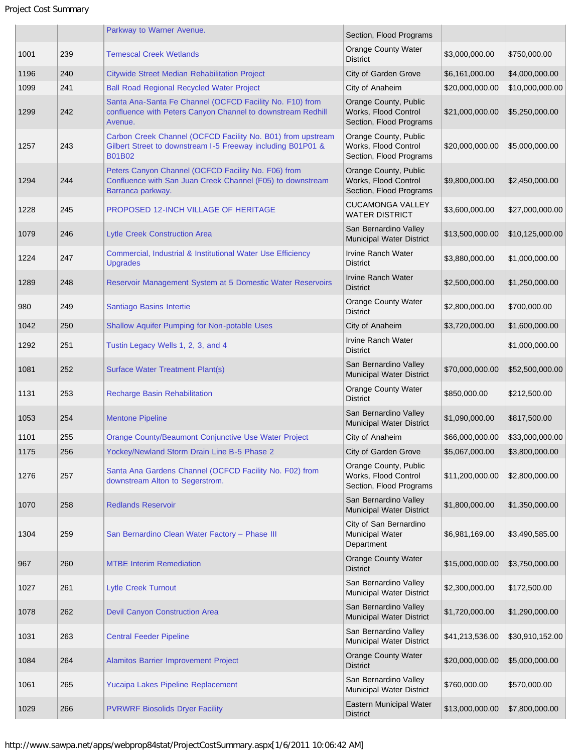## Project Cost Summary

|      |     | Parkway to Warner Avenue.                                                                                                                   | Section, Flood Programs                                                  |                 |                 |
|------|-----|---------------------------------------------------------------------------------------------------------------------------------------------|--------------------------------------------------------------------------|-----------------|-----------------|
| 1001 | 239 | <b>Temescal Creek Wetlands</b>                                                                                                              | <b>Orange County Water</b><br><b>District</b>                            | \$3,000,000.00  | \$750,000.00    |
| 1196 | 240 | <b>Citywide Street Median Rehabilitation Project</b>                                                                                        | City of Garden Grove                                                     | \$6,161,000.00  | \$4,000,000.00  |
| 1099 | 241 | <b>Ball Road Regional Recycled Water Project</b>                                                                                            | City of Anaheim                                                          | \$20,000,000.00 | \$10,000,000.00 |
| 1299 | 242 | Santa Ana-Santa Fe Channel (OCFCD Facility No. F10) from<br>confluence with Peters Canyon Channel to downstream Redhill<br>Avenue.          | Orange County, Public<br>Works, Flood Control<br>Section, Flood Programs | \$21,000,000.00 | \$5,250,000.00  |
| 1257 | 243 | Carbon Creek Channel (OCFCD Facility No. B01) from upstream<br>Gilbert Street to downstream I-5 Freeway including B01P01 &<br><b>B01B02</b> | Orange County, Public<br>Works, Flood Control<br>Section, Flood Programs | \$20,000,000.00 | \$5,000,000.00  |
| 1294 | 244 | Peters Canyon Channel (OCFCD Facility No. F06) from<br>Confluence with San Juan Creek Channel (F05) to downstream<br>Barranca parkway.      | Orange County, Public<br>Works, Flood Control<br>Section, Flood Programs | \$9,800,000.00  | \$2,450,000.00  |
| 1228 | 245 | <b>PROPOSED 12-INCH VILLAGE OF HERITAGE</b>                                                                                                 | <b>CUCAMONGA VALLEY</b><br><b>WATER DISTRICT</b>                         | \$3,600,000.00  | \$27,000,000.00 |
| 1079 | 246 | <b>Lytle Creek Construction Area</b>                                                                                                        | San Bernardino Valley<br>Municipal Water District                        | \$13,500,000.00 | \$10,125,000.00 |
| 1224 | 247 | Commercial, Industrial & Institutional Water Use Efficiency<br><b>Upgrades</b>                                                              | Irvine Ranch Water<br><b>District</b>                                    | \$3,880,000.00  | \$1,000,000.00  |
| 1289 | 248 | Reservoir Management System at 5 Domestic Water Reservoirs                                                                                  | <b>Irvine Ranch Water</b><br><b>District</b>                             | \$2,500,000.00  | \$1,250,000.00  |
| 980  | 249 | Santiago Basins Intertie                                                                                                                    | <b>Orange County Water</b><br><b>District</b>                            | \$2,800,000.00  | \$700,000.00    |
| 1042 | 250 | <b>Shallow Aquifer Pumping for Non-potable Uses</b>                                                                                         | City of Anaheim                                                          | \$3,720,000.00  | \$1,600,000.00  |
| 1292 | 251 | Tustin Legacy Wells 1, 2, 3, and 4                                                                                                          | Irvine Ranch Water<br><b>District</b>                                    |                 | \$1,000,000.00  |
| 1081 | 252 | <b>Surface Water Treatment Plant(s)</b>                                                                                                     | San Bernardino Valley<br>Municipal Water District                        | \$70,000,000.00 | \$52,500,000.00 |
| 1131 | 253 | <b>Recharge Basin Rehabilitation</b>                                                                                                        | <b>Orange County Water</b><br><b>District</b>                            | \$850,000.00    | \$212,500.00    |
| 1053 | 254 | <b>Mentone Pipeline</b>                                                                                                                     | San Bernardino Valley<br>Municipal Water District                        | \$1,090,000.00  | \$817,500.00    |
| 1101 | 255 | Orange County/Beaumont Conjunctive Use Water Project                                                                                        | City of Anaheim                                                          | \$66,000,000.00 | \$33,000,000.00 |
| 1175 | 256 | Yockey/Newland Storm Drain Line B-5 Phase 2                                                                                                 | City of Garden Grove                                                     | \$5,067,000.00  | \$3,800,000.00  |
| 1276 | 257 | Santa Ana Gardens Channel (OCFCD Facility No. F02) from<br>downstream Alton to Segerstrom.                                                  | Orange County, Public<br>Works, Flood Control<br>Section, Flood Programs | \$11,200,000.00 | \$2,800,000.00  |
| 1070 | 258 | <b>Redlands Reservoir</b>                                                                                                                   | San Bernardino Valley<br>Municipal Water District                        | \$1,800,000.00  | \$1,350,000.00  |
| 1304 | 259 | San Bernardino Clean Water Factory - Phase III                                                                                              | City of San Bernardino<br><b>Municipal Water</b><br>Department           | \$6,981,169.00  | \$3,490,585.00  |
| 967  | 260 | <b>MTBE Interim Remediation</b>                                                                                                             | <b>Orange County Water</b><br><b>District</b>                            | \$15,000,000.00 | \$3,750,000.00  |
| 1027 | 261 | <b>Lytle Creek Turnout</b>                                                                                                                  | San Bernardino Valley<br>Municipal Water District                        | \$2,300,000.00  | \$172,500.00    |
| 1078 | 262 | <b>Devil Canyon Construction Area</b>                                                                                                       | San Bernardino Valley<br>Municipal Water District                        | \$1,720,000.00  | \$1,290,000.00  |
| 1031 | 263 | <b>Central Feeder Pipeline</b>                                                                                                              | San Bernardino Valley<br>Municipal Water District                        | \$41,213,536.00 | \$30,910,152.00 |
| 1084 | 264 | Alamitos Barrier Improvement Project                                                                                                        | <b>Orange County Water</b><br><b>District</b>                            | \$20,000,000.00 | \$5,000,000.00  |
| 1061 | 265 | Yucaipa Lakes Pipeline Replacement                                                                                                          | San Bernardino Valley<br>Municipal Water District                        | \$760,000.00    | \$570,000.00    |
| 1029 | 266 | <b>PVRWRF Biosolids Dryer Facility</b>                                                                                                      | Eastern Municipal Water<br><b>District</b>                               | \$13,000,000.00 | \$7,800,000.00  |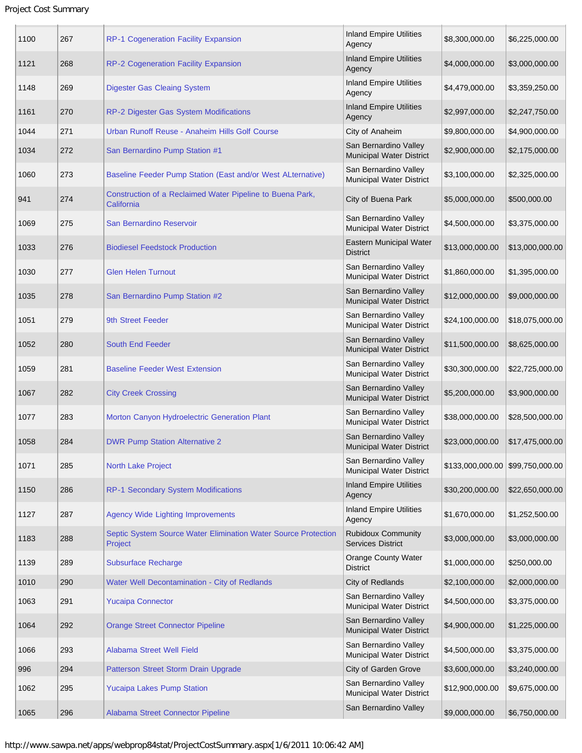## Project Cost Summary

| 1100 | 267 | RP-1 Cogeneration Facility Expansion                                      | <b>Inland Empire Utilities</b><br>Agency              | \$8,300,000.00                   | \$6,225,000.00  |
|------|-----|---------------------------------------------------------------------------|-------------------------------------------------------|----------------------------------|-----------------|
| 1121 | 268 | RP-2 Cogeneration Facility Expansion                                      | <b>Inland Empire Utilities</b><br>Agency              | \$4,000,000.00                   | \$3,000,000.00  |
| 1148 | 269 | <b>Digester Gas Cleaing System</b>                                        | <b>Inland Empire Utilities</b><br>Agency              | \$4,479,000.00                   | \$3,359,250.00  |
| 1161 | 270 | RP-2 Digester Gas System Modifications                                    | <b>Inland Empire Utilities</b><br>Agency              | \$2,997,000.00                   | \$2,247,750.00  |
| 1044 | 271 | Urban Runoff Reuse - Anaheim Hills Golf Course                            | City of Anaheim                                       | \$9,800,000.00                   | \$4,900,000.00  |
| 1034 | 272 | San Bernardino Pump Station #1                                            | San Bernardino Valley<br>Municipal Water District     | \$2,900,000.00                   | \$2,175,000.00  |
| 1060 | 273 | Baseline Feeder Pump Station (East and/or West ALternative)               | San Bernardino Valley<br>Municipal Water District     | \$3,100,000.00                   | \$2,325,000.00  |
| 941  | 274 | Construction of a Reclaimed Water Pipeline to Buena Park,<br>California   | City of Buena Park                                    | \$5,000,000.00                   | \$500,000.00    |
| 1069 | 275 | San Bernardino Reservoir                                                  | San Bernardino Valley<br>Municipal Water District     | \$4,500,000.00                   | \$3,375,000.00  |
| 1033 | 276 | <b>Biodiesel Feedstock Production</b>                                     | Eastern Municipal Water<br><b>District</b>            | \$13,000,000.00                  | \$13,000,000.00 |
| 1030 | 277 | <b>Glen Helen Turnout</b>                                                 | San Bernardino Valley<br>Municipal Water District     | \$1,860,000.00                   | \$1,395,000.00  |
| 1035 | 278 | San Bernardino Pump Station #2                                            | San Bernardino Valley<br>Municipal Water District     | \$12,000,000.00                  | \$9,000,000.00  |
| 1051 | 279 | 9th Street Feeder                                                         | San Bernardino Valley<br>Municipal Water District     | \$24,100,000.00                  | \$18,075,000.00 |
| 1052 | 280 | <b>South End Feeder</b>                                                   | San Bernardino Valley<br>Municipal Water District     | \$11,500,000.00                  | \$8,625,000.00  |
| 1059 | 281 | <b>Baseline Feeder West Extension</b>                                     | San Bernardino Valley<br>Municipal Water District     | \$30,300,000.00                  | \$22,725,000.00 |
| 1067 | 282 | <b>City Creek Crossing</b>                                                | San Bernardino Valley<br>Municipal Water District     | \$5,200,000.00                   | \$3,900,000.00  |
| 1077 | 283 | Morton Canyon Hydroelectric Generation Plant                              | San Bernardino Valley<br>Municipal Water District     | \$38,000,000.00                  | \$28,500,000.00 |
| 1058 | 284 | <b>DWR Pump Station Alternative 2</b>                                     | San Bernardino Valley<br>Municipal Water District     | \$23,000,000.00                  | \$17,475,000.00 |
| 1071 | 285 | <b>North Lake Project</b>                                                 | San Bernardino Valley<br>Municipal Water District     | \$133,000,000.00 \$99,750,000.00 |                 |
| 1150 | 286 | <b>RP-1 Secondary System Modifications</b>                                | <b>Inland Empire Utilities</b><br>Agency              | \$30,200,000.00                  | \$22,650,000.00 |
| 1127 | 287 | <b>Agency Wide Lighting Improvements</b>                                  | <b>Inland Empire Utilities</b><br>Agency              | \$1,670,000.00                   | \$1,252,500.00  |
| 1183 | 288 | Septic System Source Water Elimination Water Source Protection<br>Project | <b>Rubidoux Community</b><br><b>Services District</b> | \$3,000,000.00                   | \$3,000,000.00  |
| 1139 | 289 | <b>Subsurface Recharge</b>                                                | <b>Orange County Water</b><br><b>District</b>         | \$1,000,000.00                   | \$250,000.00    |
| 1010 | 290 | Water Well Decontamination - City of Redlands                             | City of Redlands                                      | \$2,100,000.00                   | \$2,000,000.00  |
| 1063 | 291 | <b>Yucaipa Connector</b>                                                  | San Bernardino Valley<br>Municipal Water District     | \$4,500,000.00                   | \$3,375,000.00  |
| 1064 | 292 | <b>Orange Street Connector Pipeline</b>                                   | San Bernardino Valley<br>Municipal Water District     | \$4,900,000.00                   | \$1,225,000.00  |
| 1066 | 293 | Alabama Street Well Field                                                 | San Bernardino Valley<br>Municipal Water District     | \$4,500,000.00                   | \$3,375,000.00  |
| 996  | 294 | Patterson Street Storm Drain Upgrade                                      | City of Garden Grove                                  | \$3,600,000.00                   | \$3,240,000.00  |
| 1062 | 295 | <b>Yucaipa Lakes Pump Station</b>                                         | San Bernardino Valley<br>Municipal Water District     | \$12,900,000.00                  | \$9,675,000.00  |
| 1065 | 296 | Alabama Street Connector Pipeline                                         | San Bernardino Valley                                 | \$9,000,000.00                   | \$6,750,000.00  |